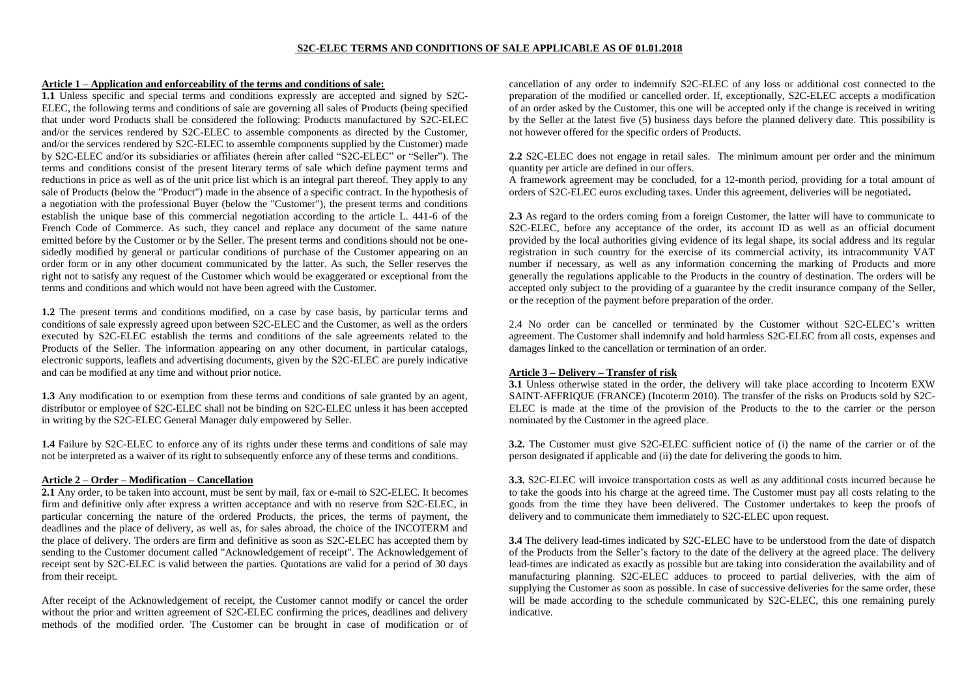### **S2C-ELEC TERMS AND CONDITIONS OF SALE APPLICABLE AS OF 01.01.2018**

### **Article 1 – Application and enforceability of the terms and conditions of sale:**

**1.1** Unless specific and special terms and conditions expressly are accepted and signed by S2C-ELEC, the following terms and conditions of sale are governing all sales of Products (being specified that under word Products shall be considered the following: Products manufactured by S2C-ELEC and/or the services rendered by S2C-ELEC to assemble components as directed by the Customer, and/or the services rendered by S2C-ELEC to assemble components supplied by the Customer) made by S2C-ELEC and/or its subsidiaries or affiliates (herein after called "S2C-ELEC" or "Seller"). The terms and conditions consist of the present literary terms of sale which define payment terms and reductions in price as well as of the unit price list which is an integral part thereof. They apply to any sale of Products (below the "Product") made in the absence of a specific contract. In the hypothesis of a negotiation with the professional Buyer (below the "Customer"), the present terms and conditions establish the unique base of this commercial negotiation according to the article L. 441-6 of the French Code of Commerce. As such, they cancel and replace any document of the same nature emitted before by the Customer or by the Seller. The present terms and conditions should not be onesidedly modified by general or particular conditions of purchase of the Customer appearing on an order form or in any other document communicated by the latter. As such, the Seller reserves the right not to satisfy any request of the Customer which would be exaggerated or exceptional from the terms and conditions and which would not have been agreed with the Customer.

**1.2** The present terms and conditions modified, on a case by case basis, by particular terms and conditions of sale expressly agreed upon between S2C-ELEC and the Customer, as well as the orders executed by S2C-ELEC establish the terms and conditions of the sale agreements related to the Products of the Seller. The information appearing on any other document, in particular catalogs, electronic supports, leaflets and advertising documents, given by the S2C-ELEC are purely indicative and can be modified at any time and without prior notice.

**1.3** Any modification to or exemption from these terms and conditions of sale granted by an agent, distributor or employee of S2C-ELEC shall not be binding on S2C-ELEC unless it has been accepted in writing by the S2C-ELEC General Manager duly empowered by Seller.

**1.4** Failure by S2C-ELEC to enforce any of its rights under these terms and conditions of sale may not be interpreted as a waiver of its right to subsequently enforce any of these terms and conditions.

### **Article 2 – Order – Modification – Cancellation**

**2.1** Any order, to be taken into account, must be sent by mail, fax or e-mail to S2C-ELEC. It becomes firm and definitive only after express a written acceptance and with no reserve from S2C-ELEC, in particular concerning the nature of the ordered Products, the prices, the terms of payment, the deadlines and the place of delivery, as well as, for sales abroad, the choice of the INCOTERM and the place of delivery. The orders are firm and definitive as soon as S2C-ELEC has accepted them by sending to the Customer document called "Acknowledgement of receipt". The Acknowledgement of receipt sent by S2C-ELEC is valid between the parties. Quotations are valid for a period of 30 days from their receipt.

After receipt of the Acknowledgement of receipt, the Customer cannot modify or cancel the order without the prior and written agreement of S2C-ELEC confirming the prices, deadlines and delivery methods of the modified order. The Customer can be brought in case of modification or of

cancellation of any order to indemnify S2C-ELEC of any loss or additional cost connected to the preparation of the modified or cancelled order. If, exceptionally, S2C-ELEC accepts a modification of an order asked by the Customer, this one will be accepted only if the change is received in writing by the Seller at the latest five (5) business days before the planned delivery date. This possibility is not however offered for the specific orders of Products.

**2.2** S2C-ELEC does not engage in retail sales. The minimum amount per order and the minimum quantity per article are defined in our offers.

A framework agreement may be concluded, for a 12-month period, providing for a total amount of orders of S2C-ELEC euros excluding taxes. Under this agreement, deliveries will be negotiated**.**

**2.3** As regard to the orders coming from a foreign Customer, the latter will have to communicate to S2C-ELEC, before any acceptance of the order, its account ID as well as an official document provided by the local authorities giving evidence of its legal shape, its social address and its regular registration in such country for the exercise of its commercial activity, its intracommunity VAT number if necessary, as well as any information concerning the marking of Products and more generally the regulations applicable to the Products in the country of destination. The orders will be accepted only subject to the providing of a guarantee by the credit insurance company of the Seller, or the reception of the payment before preparation of the order.

2.4 No order can be cancelled or terminated by the Customer without S2C-ELEC's written agreement. The Customer shall indemnify and hold harmless S2C-ELEC from all costs, expenses and damages linked to the cancellation or termination of an order.

## **Article 3 – Delivery – Transfer of risk**

**3.1** Unless otherwise stated in the order, the delivery will take place according to Incoterm EXW SAINT-AFFRIQUE (FRANCE) (Incoterm 2010). The transfer of the risks on Products sold by S2C-ELEC is made at the time of the provision of the Products to the to the carrier or the person nominated by the Customer in the agreed place.

**3.2.** The Customer must give S2C-ELEC sufficient notice of (i) the name of the carrier or of the person designated if applicable and (ii) the date for delivering the goods to him.

**3.3.** S2C-ELEC will invoice transportation costs as well as any additional costs incurred because he to take the goods into his charge at the agreed time. The Customer must pay all costs relating to the goods from the time they have been delivered. The Customer undertakes to keep the proofs of delivery and to communicate them immediately to S2C-ELEC upon request.

**3.4** The delivery lead-times indicated by S2C-ELEC have to be understood from the date of dispatch of the Products from the Seller's factory to the date of the delivery at the agreed place. The delivery lead-times are indicated as exactly as possible but are taking into consideration the availability and of manufacturing planning. S2C-ELEC adduces to proceed to partial deliveries, with the aim of supplying the Customer as soon as possible. In case of successive deliveries for the same order, these will be made according to the schedule communicated by S2C-ELEC, this one remaining purely indicative.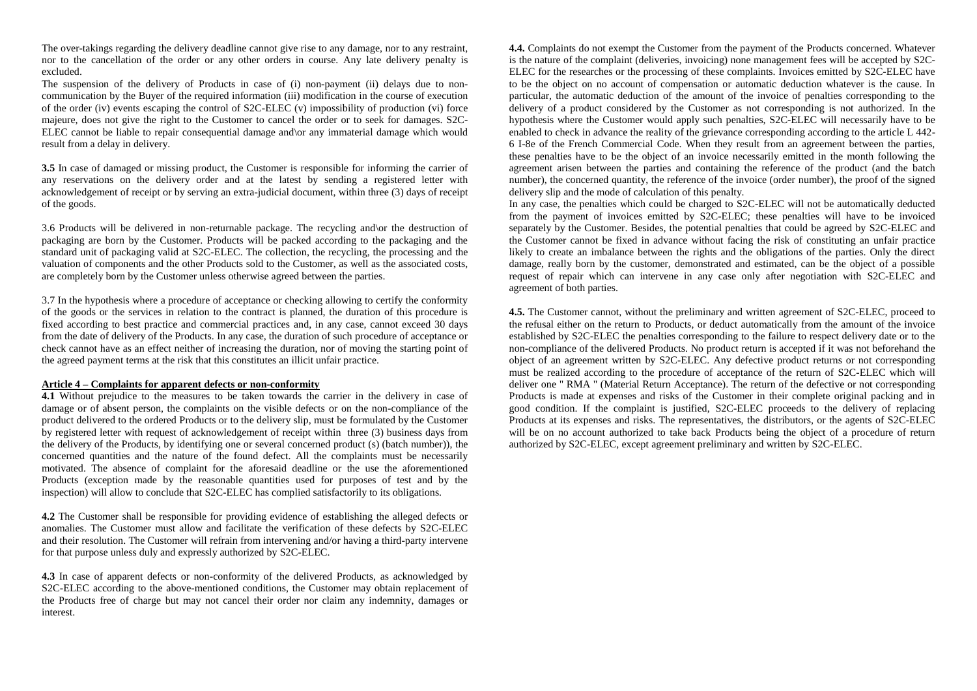The over-takings regarding the delivery deadline cannot give rise to any damage, nor to any restraint, nor to the cancellation of the order or any other orders in course. Any late delivery penalty is excluded.

The suspension of the delivery of Products in case of (i) non-payment (ii) delays due to noncommunication by the Buyer of the required information (iii) modification in the course of execution of the order (iv) events escaping the control of S2C-ELEC (v) impossibility of production (vi) force majeure, does not give the right to the Customer to cancel the order or to seek for damages. S2C-ELEC cannot be liable to repair consequential damage and\or any immaterial damage which would result from a delay in delivery.

**3.5** In case of damaged or missing product, the Customer is responsible for informing the carrier of any reservations on the delivery order and at the latest by sending a registered letter with acknowledgement of receipt or by serving an extra-judicial document, within three (3) days of receipt of the goods.

3.6 Products will be delivered in non-returnable package. The recycling and\or the destruction of packaging are born by the Customer. Products will be packed according to the packaging and the standard unit of packaging valid at S2C-ELEC. The collection, the recycling, the processing and the valuation of components and the other Products sold to the Customer, as well as the associated costs, are completely born by the Customer unless otherwise agreed between the parties.

3.7 In the hypothesis where a procedure of acceptance or checking allowing to certify the conformity of the goods or the services in relation to the contract is planned, the duration of this procedure is fixed according to best practice and commercial practices and, in any case, cannot exceed 30 days from the date of delivery of the Products. In any case, the duration of such procedure of acceptance or check cannot have as an effect neither of increasing the duration, nor of moving the starting point of the agreed payment terms at the risk that this constitutes an illicit unfair practice.

#### **Article 4 – Complaints for apparent defects or non-conformity**

**4.1** Without prejudice to the measures to be taken towards the carrier in the delivery in case of damage or of absent person, the complaints on the visible defects or on the non-compliance of the product delivered to the ordered Products or to the delivery slip, must be formulated by the Customer by registered letter with request of acknowledgement of receipt within three (3) business days from the delivery of the Products, by identifying one or several concerned product (s) (batch number)), the concerned quantities and the nature of the found defect. All the complaints must be necessarily motivated. The absence of complaint for the aforesaid deadline or the use the aforementioned Products (exception made by the reasonable quantities used for purposes of test and by the inspection) will allow to conclude that S2C-ELEC has complied satisfactorily to its obligations.

**4.2** The Customer shall be responsible for providing evidence of establishing the alleged defects or anomalies. The Customer must allow and facilitate the verification of these defects by S2C-ELEC and their resolution. The Customer will refrain from intervening and/or having a third-party intervene for that purpose unless duly and expressly authorized by S2C-ELEC.

**4.3** In case of apparent defects or non-conformity of the delivered Products, as acknowledged by S2C-ELEC according to the above-mentioned conditions, the Customer may obtain replacement of the Products free of charge but may not cancel their order nor claim any indemnity, damages or interest.

**4.4.** Complaints do not exempt the Customer from the payment of the Products concerned. Whatever is the nature of the complaint (deliveries, invoicing) none management fees will be accepted by S2C-ELEC for the researches or the processing of these complaints. Invoices emitted by S2C-ELEC have to be the object on no account of compensation or automatic deduction whatever is the cause. In particular, the automatic deduction of the amount of the invoice of penalties corresponding to the delivery of a product considered by the Customer as not corresponding is not authorized. In the hypothesis where the Customer would apply such penalties, S2C-ELEC will necessarily have to be enabled to check in advance the reality of the grievance corresponding according to the article L 442- 6 I-8e of the French Commercial Code. When they result from an agreement between the parties, these penalties have to be the object of an invoice necessarily emitted in the month following the agreement arisen between the parties and containing the reference of the product (and the batch number), the concerned quantity, the reference of the invoice (order number), the proof of the signed delivery slip and the mode of calculation of this penalty.

In any case, the penalties which could be charged to S2C-ELEC will not be automatically deducted from the payment of invoices emitted by S2C-ELEC; these penalties will have to be invoiced separately by the Customer. Besides, the potential penalties that could be agreed by S2C-ELEC and the Customer cannot be fixed in advance without facing the risk of constituting an unfair practice likely to create an imbalance between the rights and the obligations of the parties. Only the direct damage, really born by the customer, demonstrated and estimated, can be the object of a possible request of repair which can intervene in any case only after negotiation with S2C-ELEC and agreement of both parties.

**4.5.** The Customer cannot, without the preliminary and written agreement of S2C-ELEC, proceed to the refusal either on the return to Products, or deduct automatically from the amount of the invoice established by S2C-ELEC the penalties corresponding to the failure to respect delivery date or to the non-compliance of the delivered Products. No product return is accepted if it was not beforehand the object of an agreement written by S2C-ELEC. Any defective product returns or not corresponding must be realized according to the procedure of acceptance of the return of S2C-ELEC which will deliver one " RMA " (Material Return Acceptance). The return of the defective or not corresponding Products is made at expenses and risks of the Customer in their complete original packing and in good condition. If the complaint is justified, S2C-ELEC proceeds to the delivery of replacing Products at its expenses and risks. The representatives, the distributors, or the agents of S2C-ELEC will be on no account authorized to take back Products being the object of a procedure of return authorized by S2C-ELEC, except agreement preliminary and written by S2C-ELEC.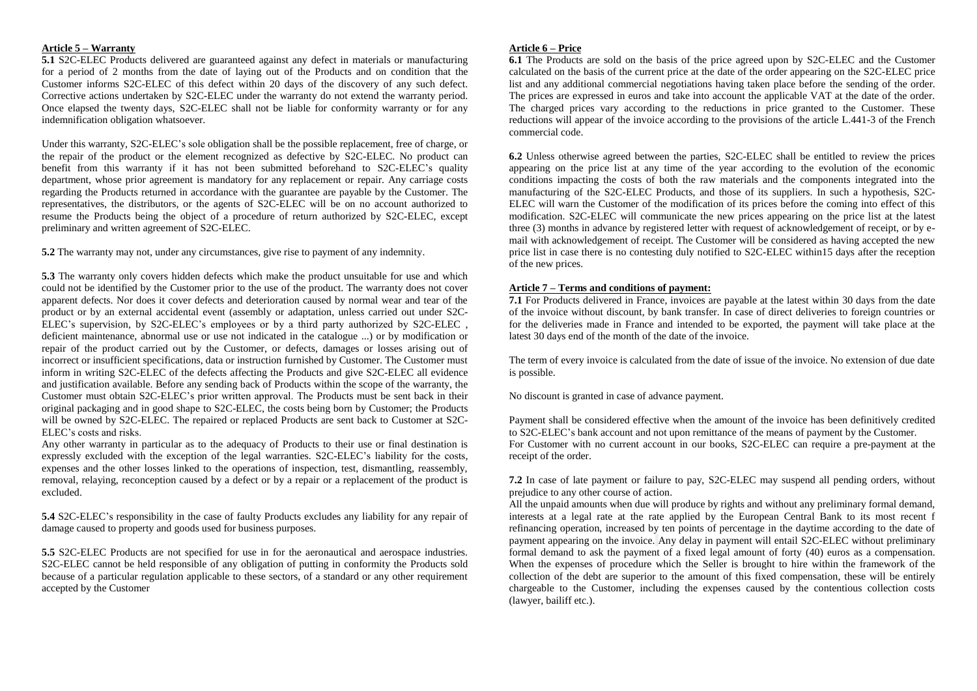# **Article 5 – Warranty**

**5.1** S2C-ELEC Products delivered are guaranteed against any defect in materials or manufacturing for a period of 2 months from the date of laying out of the Products and on condition that the Customer informs S2C-ELEC of this defect within 20 days of the discovery of any such defect. Corrective actions undertaken by S2C-ELEC under the warranty do not extend the warranty period. Once elapsed the twenty days, S2C-ELEC shall not be liable for conformity warranty or for any indemnification obligation whatsoever.

Under this warranty, S2C-ELEC's sole obligation shall be the possible replacement, free of charge, or the repair of the product or the element recognized as defective by S2C-ELEC. No product can benefit from this warranty if it has not been submitted beforehand to S2C-ELEC's quality department, whose prior agreement is mandatory for any replacement or repair. Any carriage costs regarding the Products returned in accordance with the guarantee are payable by the Customer. The representatives, the distributors, or the agents of S2C-ELEC will be on no account authorized to resume the Products being the object of a procedure of return authorized by S2C-ELEC, except preliminary and written agreement of S2C-ELEC.

**5.2** The warranty may not, under any circumstances, give rise to payment of any indemnity.

**5.3** The warranty only covers hidden defects which make the product unsuitable for use and which could not be identified by the Customer prior to the use of the product. The warranty does not cover apparent defects. Nor does it cover defects and deterioration caused by normal wear and tear of the product or by an external accidental event (assembly or adaptation, unless carried out under S2C-ELEC's supervision, by S2C-ELEC's employees or by a third party authorized by S2C-ELEC , deficient maintenance, abnormal use or use not indicated in the catalogue ...) or by modification or repair of the product carried out by the Customer, or defects, damages or losses arising out of incorrect or insufficient specifications, data or instruction furnished by Customer. The Customer must inform in writing S2C-ELEC of the defects affecting the Products and give S2C-ELEC all evidence and justification available. Before any sending back of Products within the scope of the warranty, the Customer must obtain S2C-ELEC's prior written approval. The Products must be sent back in their original packaging and in good shape to S2C-ELEC, the costs being born by Customer; the Products will be owned by S2C-ELEC. The repaired or replaced Products are sent back to Customer at S2C-ELEC's costs and risks.

Any other warranty in particular as to the adequacy of Products to their use or final destination is expressly excluded with the exception of the legal warranties. S2C-ELEC's liability for the costs, expenses and the other losses linked to the operations of inspection, test, dismantling, reassembly, removal, relaying, reconception caused by a defect or by a repair or a replacement of the product is excluded.

**5.4** S2C-ELEC's responsibility in the case of faulty Products excludes any liability for any repair of damage caused to property and goods used for business purposes.

**5.5** S2C-ELEC Products are not specified for use in for the aeronautical and aerospace industries. S2C-ELEC cannot be held responsible of any obligation of putting in conformity the Products sold because of a particular regulation applicable to these sectors, of a standard or any other requirement accepted by the Customer

#### **Article 6 – Price**

**6.1** The Products are sold on the basis of the price agreed upon by S2C-ELEC and the Customer calculated on the basis of the current price at the date of the order appearing on the S2C-ELEC price list and any additional commercial negotiations having taken place before the sending of the order. The prices are expressed in euros and take into account the applicable VAT at the date of the order. The charged prices vary according to the reductions in price granted to the Customer. These reductions will appear of the invoice according to the provisions of the article L.441-3 of the French commercial code.

**6.2** Unless otherwise agreed between the parties, S2C-ELEC shall be entitled to review the prices appearing on the price list at any time of the year according to the evolution of the economic conditions impacting the costs of both the raw materials and the components integrated into the manufacturing of the S2C-ELEC Products, and those of its suppliers. In such a hypothesis, S2C-ELEC will warn the Customer of the modification of its prices before the coming into effect of this modification. S2C-ELEC will communicate the new prices appearing on the price list at the latest three (3) months in advance by registered letter with request of acknowledgement of receipt, or by email with acknowledgement of receipt. The Customer will be considered as having accepted the new price list in case there is no contesting duly notified to S2C-ELEC within15 days after the reception of the new prices.

## **Article 7 – Terms and conditions of payment:**

**7.1** For Products delivered in France, invoices are payable at the latest within 30 days from the date of the invoice without discount, by bank transfer. In case of direct deliveries to foreign countries or for the deliveries made in France and intended to be exported, the payment will take place at the latest 30 days end of the month of the date of the invoice.

The term of every invoice is calculated from the date of issue of the invoice. No extension of due date is possible.

No discount is granted in case of advance payment.

Payment shall be considered effective when the amount of the invoice has been definitively credited to S2C-ELEC's bank account and not upon remittance of the means of payment by the Customer. For Customer with no current account in our books, S2C-ELEC can require a pre-payment at the receipt of the order.

**7.2** In case of late payment or failure to pay, S2C-ELEC may suspend all pending orders, without prejudice to any other course of action.

All the unpaid amounts when due will produce by rights and without any preliminary formal demand, interests at a legal rate at the rate applied by the European Central Bank to its most recent f refinancing operation, increased by ten points of percentage in the daytime according to the date of payment appearing on the invoice. Any delay in payment will entail S2C-ELEC without preliminary formal demand to ask the payment of a fixed legal amount of forty (40) euros as a compensation. When the expenses of procedure which the Seller is brought to hire within the framework of the collection of the debt are superior to the amount of this fixed compensation, these will be entirely chargeable to the Customer, including the expenses caused by the contentious collection costs (lawyer, bailiff etc.).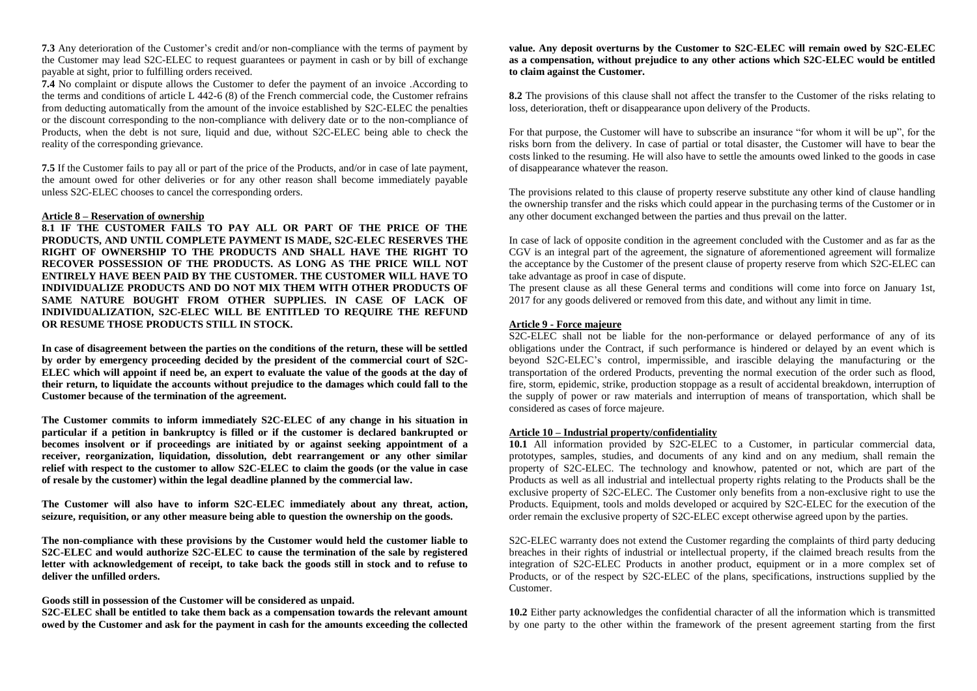**7.3** Any deterioration of the Customer's credit and/or non-compliance with the terms of payment by the Customer may lead S2C-ELEC to request guarantees or payment in cash or by bill of exchange payable at sight, prior to fulfilling orders received.

**7.4** No complaint or dispute allows the Customer to defer the payment of an invoice .According to the terms and conditions of article L 442-6 (8) of the French commercial code, the Customer refrains from deducting automatically from the amount of the invoice established by S2C-ELEC the penalties or the discount corresponding to the non-compliance with delivery date or to the non-compliance of Products, when the debt is not sure, liquid and due, without S2C-ELEC being able to check the reality of the corresponding grievance.

**7.5** If the Customer fails to pay all or part of the price of the Products, and/or in case of late payment, the amount owed for other deliveries or for any other reason shall become immediately payable unless S2C-ELEC chooses to cancel the corresponding orders.

### **Article 8 – Reservation of ownership**

**8.1 IF THE CUSTOMER FAILS TO PAY ALL OR PART OF THE PRICE OF THE PRODUCTS, AND UNTIL COMPLETE PAYMENT IS MADE, S2C-ELEC RESERVES THE RIGHT OF OWNERSHIP TO THE PRODUCTS AND SHALL HAVE THE RIGHT TO RECOVER POSSESSION OF THE PRODUCTS. AS LONG AS THE PRICE WILL NOT ENTIRELY HAVE BEEN PAID BY THE CUSTOMER. THE CUSTOMER WILL HAVE TO INDIVIDUALIZE PRODUCTS AND DO NOT MIX THEM WITH OTHER PRODUCTS OF SAME NATURE BOUGHT FROM OTHER SUPPLIES. IN CASE OF LACK OF INDIVIDUALIZATION, S2C-ELEC WILL BE ENTITLED TO REQUIRE THE REFUND OR RESUME THOSE PRODUCTS STILL IN STOCK.**

**In case of disagreement between the parties on the conditions of the return, these will be settled by order by emergency proceeding decided by the president of the commercial court of S2C-ELEC which will appoint if need be, an expert to evaluate the value of the goods at the day of their return, to liquidate the accounts without prejudice to the damages which could fall to the Customer because of the termination of the agreement.**

**The Customer commits to inform immediately S2C-ELEC of any change in his situation in particular if a petition in bankruptcy is filled or if the customer is declared bankrupted or becomes insolvent or if proceedings are initiated by or against seeking appointment of a receiver, reorganization, liquidation, dissolution, debt rearrangement or any other similar relief with respect to the customer to allow S2C-ELEC to claim the goods (or the value in case of resale by the customer) within the legal deadline planned by the commercial law.**

**The Customer will also have to inform S2C-ELEC immediately about any threat, action, seizure, requisition, or any other measure being able to question the ownership on the goods.**

**The non-compliance with these provisions by the Customer would held the customer liable to S2C-ELEC and would authorize S2C-ELEC to cause the termination of the sale by registered letter with acknowledgement of receipt, to take back the goods still in stock and to refuse to deliver the unfilled orders.**

**Goods still in possession of the Customer will be considered as unpaid.**

**S2C-ELEC shall be entitled to take them back as a compensation towards the relevant amount owed by the Customer and ask for the payment in cash for the amounts exceeding the collected** 

# **value. Any deposit overturns by the Customer to S2C-ELEC will remain owed by S2C-ELEC as a compensation, without prejudice to any other actions which S2C-ELEC would be entitled to claim against the Customer.**

**8.2** The provisions of this clause shall not affect the transfer to the Customer of the risks relating to loss, deterioration, theft or disappearance upon delivery of the Products.

For that purpose, the Customer will have to subscribe an insurance "for whom it will be up", for the risks born from the delivery. In case of partial or total disaster, the Customer will have to bear the costs linked to the resuming. He will also have to settle the amounts owed linked to the goods in case of disappearance whatever the reason.

The provisions related to this clause of property reserve substitute any other kind of clause handling the ownership transfer and the risks which could appear in the purchasing terms of the Customer or in any other document exchanged between the parties and thus prevail on the latter.

In case of lack of opposite condition in the agreement concluded with the Customer and as far as the CGV is an integral part of the agreement, the signature of aforementioned agreement will formalize the acceptance by the Customer of the present clause of property reserve from which S2C-ELEC can take advantage as proof in case of dispute.

The present clause as all these General terms and conditions will come into force on January 1st, 2017 for any goods delivered or removed from this date, and without any limit in time.

# **Article 9 - Force majeure**

S2C-ELEC shall not be liable for the non-performance or delayed performance of any of its obligations under the Contract, if such performance is hindered or delayed by an event which is beyond S2C-ELEC's control, impermissible, and irascible delaying the manufacturing or the transportation of the ordered Products, preventing the normal execution of the order such as flood, fire, storm, epidemic, strike, production stoppage as a result of accidental breakdown, interruption of the supply of power or raw materials and interruption of means of transportation, which shall be considered as cases of force majeure.

# **Article 10 – Industrial property/confidentiality**

**10.1** All information provided by S2C-ELEC to a Customer, in particular commercial data, prototypes, samples, studies, and documents of any kind and on any medium, shall remain the property of S2C-ELEC. The technology and knowhow, patented or not, which are part of the Products as well as all industrial and intellectual property rights relating to the Products shall be the exclusive property of S2C-ELEC. The Customer only benefits from a non-exclusive right to use the Products. Equipment, tools and molds developed or acquired by S2C-ELEC for the execution of the order remain the exclusive property of S2C-ELEC except otherwise agreed upon by the parties.

S2C-ELEC warranty does not extend the Customer regarding the complaints of third party deducing breaches in their rights of industrial or intellectual property, if the claimed breach results from the integration of S2C-ELEC Products in another product, equipment or in a more complex set of Products, or of the respect by S2C-ELEC of the plans, specifications, instructions supplied by the Customer.

**10.2** Either party acknowledges the confidential character of all the information which is transmitted by one party to the other within the framework of the present agreement starting from the first